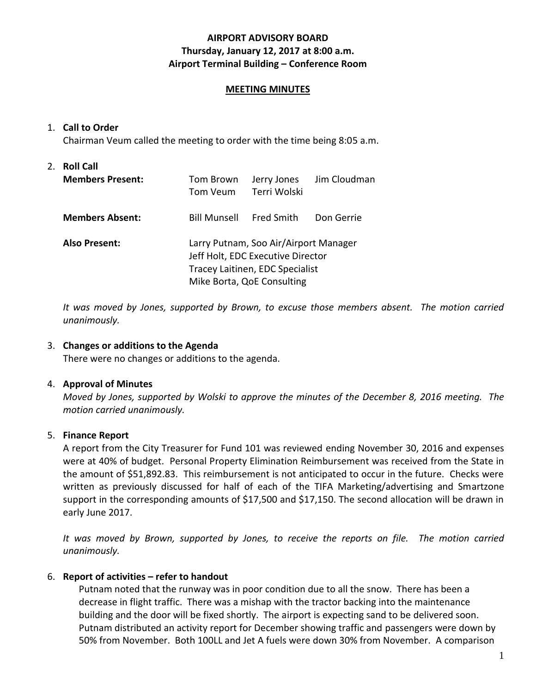# **AIRPORT ADVISORY BOARD Thursday, January 12, 2017 at 8:00 a.m. Airport Terminal Building – Conference Room**

#### **MEETING MINUTES**

#### 1. **Call to Order**

Chairman Veum called the meeting to order with the time being 8:05 a.m.

# 2. **Roll Call Members Present:** Tom Brown Jerry Jones Jim Cloudman Tom Veum Terri Wolski **Members Absent:** Bill Munsell Fred Smith Don Gerrie **Also Present:** Larry Putnam, Soo Air/Airport Manager Jeff Holt, EDC Executive Director Tracey Laitinen, EDC Specialist Mike Borta, QoE Consulting

*It was moved by Jones, supported by Brown, to excuse those members absent. The motion carried unanimously.*

#### 3. **Changes or additions to the Agenda**

There were no changes or additions to the agenda.

#### 4. **Approval of Minutes**

*Moved by Jones, supported by Wolski to approve the minutes of the December 8, 2016 meeting. The motion carried unanimously.*

# 5. **Finance Report**

A report from the City Treasurer for Fund 101 was reviewed ending November 30, 2016 and expenses were at 40% of budget. Personal Property Elimination Reimbursement was received from the State in the amount of \$51,892.83. This reimbursement is not anticipated to occur in the future. Checks were written as previously discussed for half of each of the TIFA Marketing/advertising and Smartzone support in the corresponding amounts of \$17,500 and \$17,150. The second allocation will be drawn in early June 2017.

*It was moved by Brown, supported by Jones, to receive the reports on file. The motion carried unanimously.*

# 6. **Report of activities – refer to handout**

Putnam noted that the runway was in poor condition due to all the snow. There has been a decrease in flight traffic. There was a mishap with the tractor backing into the maintenance building and the door will be fixed shortly. The airport is expecting sand to be delivered soon. Putnam distributed an activity report for December showing traffic and passengers were down by 50% from November. Both 100LL and Jet A fuels were down 30% from November. A comparison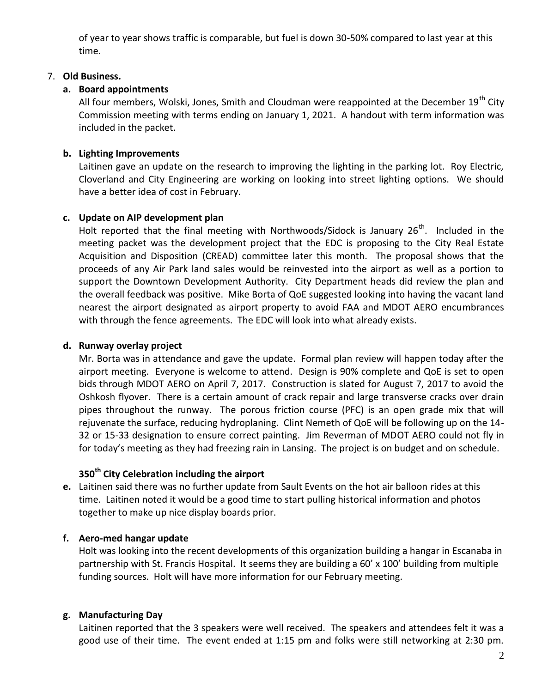of year to year shows traffic is comparable, but fuel is down 30-50% compared to last year at this time.

#### 7. **Old Business.**

# **a. Board appointments**

All four members, Wolski, Jones, Smith and Cloudman were reappointed at the December  $19<sup>th</sup>$  City Commission meeting with terms ending on January 1, 2021. A handout with term information was included in the packet.

# **b. Lighting Improvements**

Laitinen gave an update on the research to improving the lighting in the parking lot. Roy Electric, Cloverland and City Engineering are working on looking into street lighting options. We should have a better idea of cost in February.

#### **c. Update on AIP development plan**

Holt reported that the final meeting with Northwoods/Sidock is January  $26<sup>th</sup>$ . Included in the meeting packet was the development project that the EDC is proposing to the City Real Estate Acquisition and Disposition (CREAD) committee later this month. The proposal shows that the proceeds of any Air Park land sales would be reinvested into the airport as well as a portion to support the Downtown Development Authority. City Department heads did review the plan and the overall feedback was positive. Mike Borta of QoE suggested looking into having the vacant land nearest the airport designated as airport property to avoid FAA and MDOT AERO encumbrances with through the fence agreements. The EDC will look into what already exists.

# **d. Runway overlay project**

Mr. Borta was in attendance and gave the update. Formal plan review will happen today after the airport meeting. Everyone is welcome to attend. Design is 90% complete and QoE is set to open bids through MDOT AERO on April 7, 2017. Construction is slated for August 7, 2017 to avoid the Oshkosh flyover. There is a certain amount of crack repair and large transverse cracks over drain pipes throughout the runway. The porous friction course (PFC) is an open grade mix that will rejuvenate the surface, reducing hydroplaning. Clint Nemeth of QoE will be following up on the 14- 32 or 15-33 designation to ensure correct painting. Jim Reverman of MDOT AERO could not fly in for today's meeting as they had freezing rain in Lansing. The project is on budget and on schedule.

# **350th City Celebration including the airport**

**e.** Laitinen said there was no further update from Sault Events on the hot air balloon rides at this time. Laitinen noted it would be a good time to start pulling historical information and photos together to make up nice display boards prior.

# **f. Aero-med hangar update**

Holt was looking into the recent developments of this organization building a hangar in Escanaba in partnership with St. Francis Hospital. It seems they are building a 60' x 100' building from multiple funding sources. Holt will have more information for our February meeting.

#### **g. Manufacturing Day**

Laitinen reported that the 3 speakers were well received. The speakers and attendees felt it was a good use of their time. The event ended at 1:15 pm and folks were still networking at 2:30 pm.